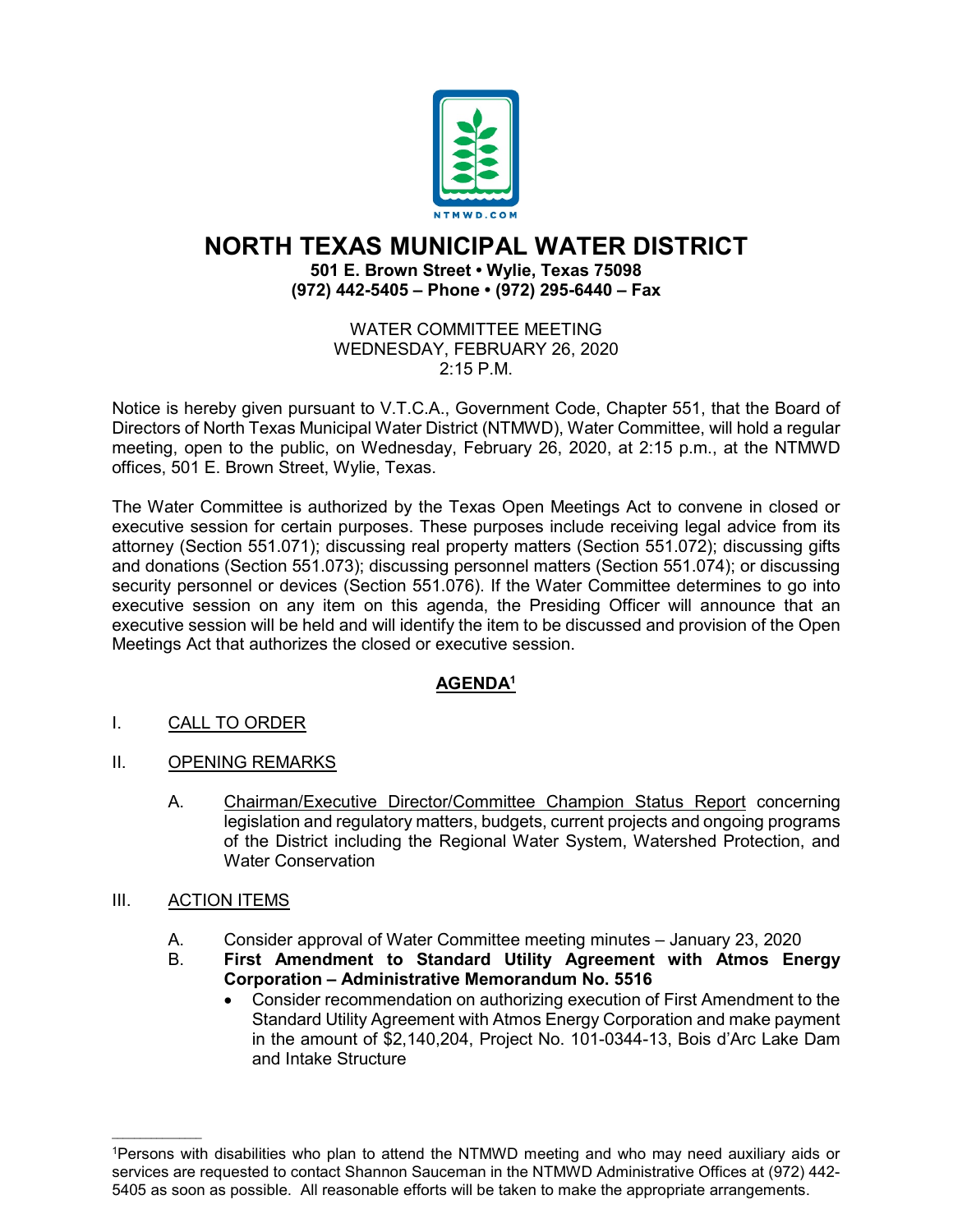

# **NORTH TEXAS MUNICIPAL WATER DISTRICT**

## **501 E. Brown Street • Wylie, Texas 75098 (972) 442-5405 – Phone • (972) 295-6440 – Fax**

#### WATER COMMITTEE MEETING WEDNESDAY, FEBRUARY 26, 2020 2:15 P.M.

Notice is hereby given pursuant to V.T.C.A., Government Code, Chapter 551, that the Board of Directors of North Texas Municipal Water District (NTMWD), Water Committee, will hold a regular meeting, open to the public, on Wednesday, February 26, 2020, at 2:15 p.m., at the NTMWD offices, 501 E. Brown Street, Wylie, Texas.

The Water Committee is authorized by the Texas Open Meetings Act to convene in closed or executive session for certain purposes. These purposes include receiving legal advice from its attorney (Section 551.071); discussing real property matters (Section 551.072); discussing gifts and donations (Section 551.073); discussing personnel matters (Section 551.074); or discussing security personnel or devices (Section 551.076). If the Water Committee determines to go into executive session on any item on this agenda, the Presiding Officer will announce that an executive session will be held and will identify the item to be discussed and provision of the Open Meetings Act that authorizes the closed or executive session.

## **AGENDA1**

- I. CALL TO ORDER
- II. OPENING REMARKS
	- A. Chairman/Executive Director/Committee Champion Status Report concerning legislation and regulatory matters, budgets, current projects and ongoing programs of the District including the Regional Water System, Watershed Protection, and Water Conservation

## III. ACTION ITEMS

 $\mathcal{L}_\text{max}$  and  $\mathcal{L}_\text{max}$  and  $\mathcal{L}_\text{max}$ 

- A. Consider approval of Water Committee meeting minutes January 23, 2020<br>B. Eirst Amendment to Standard Utility Agreement with Atmos Eng
	- B. **First Amendment to Standard Utility Agreement with Atmos Energy Corporation – Administrative Memorandum No. 5516**
		- Consider recommendation on authorizing execution of First Amendment to the Standard Utility Agreement with Atmos Energy Corporation and make payment in the amount of \$2,140,204, Project No. 101-0344-13, Bois d'Arc Lake Dam and Intake Structure

<sup>1</sup>Persons with disabilities who plan to attend the NTMWD meeting and who may need auxiliary aids or services are requested to contact Shannon Sauceman in the NTMWD Administrative Offices at (972) 442- 5405 as soon as possible. All reasonable efforts will be taken to make the appropriate arrangements.